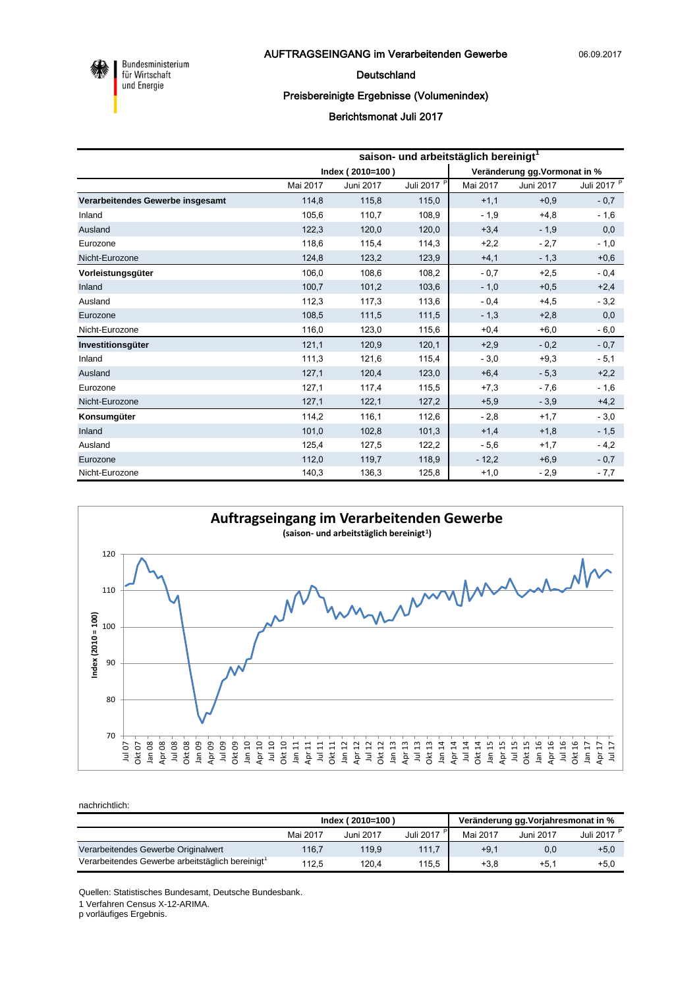

Bundesministerium<br>für Wirtschaft und Energie

#### Deutschland

### Preisbereinigte Ergebnisse (Volumenindex)

## Berichtsmonat Juli 2017

|                                  | saison- und arbeitstäglich bereinigt <sup>1</sup> |                  |                        |                               |           |                        |  |  |  |
|----------------------------------|---------------------------------------------------|------------------|------------------------|-------------------------------|-----------|------------------------|--|--|--|
|                                  |                                                   | Index (2010=100) |                        | Veränderung gg. Vormonat in % |           |                        |  |  |  |
|                                  | Mai 2017                                          | Juni 2017        | Juli 2017 <sup>P</sup> | Mai 2017                      | Juni 2017 | Juli 2017 <sup>P</sup> |  |  |  |
| Verarbeitendes Gewerbe insgesamt | 114,8                                             | 115,8            | 115,0                  | $+1,1$                        | $+0,9$    | $-0,7$                 |  |  |  |
| Inland                           | 105,6                                             | 110,7            | 108,9                  | $-1,9$                        | $+4,8$    | $-1,6$                 |  |  |  |
| Ausland                          | 122,3                                             | 120,0            | 120,0                  | $+3,4$                        | $-1,9$    | 0,0                    |  |  |  |
| Eurozone                         | 118,6                                             | 115,4            | 114,3                  | $+2,2$                        | $-2,7$    | $-1,0$                 |  |  |  |
| Nicht-Eurozone                   | 124,8                                             | 123,2            | 123,9                  | $+4,1$                        | $-1,3$    | $+0,6$                 |  |  |  |
| Vorleistungsgüter                | 106,0                                             | 108,6            | 108,2                  | $-0,7$                        | $+2,5$    | $-0,4$                 |  |  |  |
| Inland                           | 100,7                                             | 101,2            | 103,6                  | $-1,0$                        | $+0,5$    | $+2,4$                 |  |  |  |
| Ausland                          | 112,3                                             | 117,3            | 113,6                  | $-0,4$                        | $+4,5$    | $-3,2$                 |  |  |  |
| Eurozone                         | 108,5                                             | 111,5            | 111,5                  | $-1,3$                        | $+2,8$    | 0,0                    |  |  |  |
| Nicht-Eurozone                   | 116,0                                             | 123,0            | 115,6                  | $+0,4$                        | $+6,0$    | $-6,0$                 |  |  |  |
| Investitionsgüter                | 121,1                                             | 120,9            | 120,1                  | $+2,9$                        | $-0,2$    | $-0,7$                 |  |  |  |
| Inland                           | 111,3                                             | 121,6            | 115,4                  | $-3,0$                        | $+9,3$    | $-5,1$                 |  |  |  |
| Ausland                          | 127,1                                             | 120,4            | 123,0                  | $+6,4$                        | $-5,3$    | $+2,2$                 |  |  |  |
| Eurozone                         | 127,1                                             | 117,4            | 115,5                  | $+7,3$                        | $-7,6$    | $-1,6$                 |  |  |  |
| Nicht-Eurozone                   | 127,1                                             | 122,1            | 127,2                  | $+5,9$                        | $-3,9$    | $+4,2$                 |  |  |  |
| Konsumgüter                      | 114.2                                             | 116,1            | 112,6                  | $-2,8$                        | $+1,7$    | $-3,0$                 |  |  |  |
| Inland                           | 101,0                                             | 102,8            | 101,3                  | $+1,4$                        | $+1,8$    | $-1,5$                 |  |  |  |
| Ausland                          | 125,4                                             | 127,5            | 122,2                  | $-5,6$                        | $+1,7$    | $-4,2$                 |  |  |  |
| Eurozone                         | 112,0                                             | 119,7            | 118,9                  | $-12,2$                       | $+6,9$    | $-0,7$                 |  |  |  |
| Nicht-Eurozone                   | 140,3                                             | 136,3            | 125,8                  | $+1,0$                        | $-2,9$    | $-7,7$                 |  |  |  |



nachrichtlich:

|                                                 |          | Index (2010=100) |           | Veränderung gg. Vorjahresmonat in % |           |           |
|-------------------------------------------------|----------|------------------|-----------|-------------------------------------|-----------|-----------|
|                                                 | Mai 2017 | Juni 2017        | Juli 2017 | Mai 2017                            | Juni 2017 | Juli 2017 |
| Verarbeitendes Gewerbe Originalwert             | 116,7    | 119.9            | 111,7     | $+9.1$                              | 0,0       | $+5,0$    |
| Verarbeitendes Gewerbe arbeitstäglich bereinigt | 112.5    | 120.4            | 115.5     | $+3.8$                              | $+5.1$    | $+5,0$    |

Quellen: Statistisches Bundesamt, Deutsche Bundesbank.

1 Verfahren Census X-12-ARIMA.

p vorläufiges Ergebnis.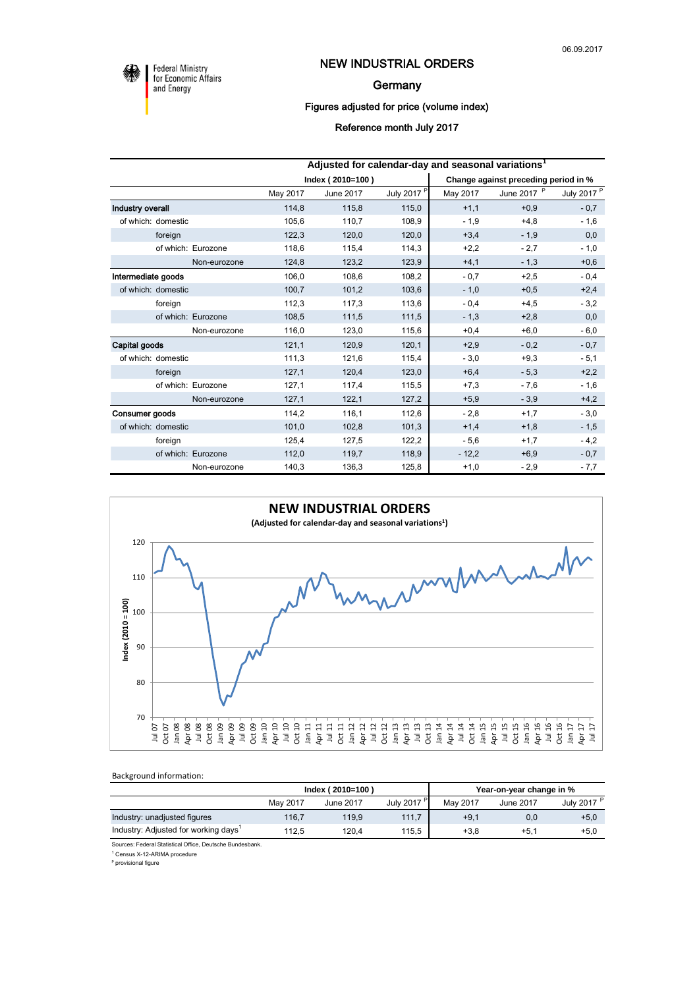

**Federal Ministry** for Economic Affairs and Energy

## NEW INDUSTRIAL ORDERS

#### **Germany**

## Figures adjusted for price (volume index)

#### Reference month July 2017

|                    | Adjusted for calendar-day and seasonal variations <sup>1</sup> |                  |                        |                                      |             |                        |  |  |
|--------------------|----------------------------------------------------------------|------------------|------------------------|--------------------------------------|-------------|------------------------|--|--|
|                    |                                                                | Index (2010=100) |                        | Change against preceding period in % |             |                        |  |  |
|                    | May 2017                                                       | June 2017        | July 2017 <sup>P</sup> | May 2017                             | June 2017 P | July 2017 <sup>P</sup> |  |  |
| Industry overall   | 114,8                                                          | 115,8            | 115,0                  | $+1,1$                               | $+0,9$      | $-0,7$                 |  |  |
| of which: domestic | 105,6                                                          | 110,7            | 108,9                  | $-1,9$                               | $+4,8$      | $-1,6$                 |  |  |
| foreign            | 122,3                                                          | 120,0            | 120,0                  | $+3,4$                               | $-1,9$      | 0,0                    |  |  |
| of which: Eurozone | 118,6                                                          | 115,4            | 114,3                  | $+2,2$                               | $-2,7$      | $-1,0$                 |  |  |
| Non-eurozone       | 124,8                                                          | 123,2            | 123,9                  | $+4,1$                               | $-1,3$      | $+0,6$                 |  |  |
| Intermediate goods | 106,0                                                          | 108,6            | 108,2                  | $-0,7$                               | $+2,5$      | $-0,4$                 |  |  |
| of which: domestic | 100,7                                                          | 101,2            | 103,6                  | $-1,0$                               | $+0,5$      | $+2,4$                 |  |  |
| foreign            | 112,3                                                          | 117,3            | 113,6                  | $-0.4$                               | $+4,5$      | $-3,2$                 |  |  |
| of which: Eurozone | 108,5                                                          | 111,5            | 111,5                  | $-1,3$                               | $+2,8$      | 0,0                    |  |  |
| Non-eurozone       | 116,0                                                          | 123,0            | 115,6                  | $+0,4$                               | $+6,0$      | $-6,0$                 |  |  |
| Capital goods      | 121,1                                                          | 120,9            | 120,1                  | $+2,9$                               | $-0.2$      | $-0,7$                 |  |  |
| of which: domestic | 111,3                                                          | 121,6            | 115,4                  | $-3,0$                               | $+9,3$      | $-5,1$                 |  |  |
| foreign            | 127,1                                                          | 120,4            | 123,0                  | $+6,4$                               | $-5,3$      | $+2,2$                 |  |  |
| of which: Eurozone | 127,1                                                          | 117,4            | 115,5                  | $+7,3$                               | $-7,6$      | $-1,6$                 |  |  |
| Non-eurozone       | 127,1                                                          | 122,1            | 127,2                  | $+5,9$                               | $-3.9$      | $+4,2$                 |  |  |
| Consumer goods     | 114,2                                                          | 116,1            | 112,6                  | $-2,8$                               | $+1,7$      | $-3,0$                 |  |  |
| of which: domestic | 101,0                                                          | 102,8            | 101,3                  | $+1,4$                               | $+1,8$      | $-1,5$                 |  |  |
| foreign            | 125,4                                                          | 127,5            | 122,2                  | $-5,6$                               | $+1,7$      | $-4,2$                 |  |  |
| of which: Eurozone | 112,0                                                          | 119,7            | 118,9                  | $-12,2$                              | $+6,9$      | $-0,7$                 |  |  |
| Non-eurozone       | 140,3                                                          | 136,3            | 125,8                  | $+1,0$                               | $-2,9$      | $-7,7$                 |  |  |



Background information:

|                                                  |                                                 | Index (2010=100) |          | Year-on-year change in % |                        |        |
|--------------------------------------------------|-------------------------------------------------|------------------|----------|--------------------------|------------------------|--------|
|                                                  | July 2017 <sup>+</sup><br>May 2017<br>June 2017 |                  | May 2017 | June 2017                | July 2017 <sup>P</sup> |        |
| Industry: unadjusted figures                     | 116.7                                           | 119.9            | 111.7    | $+9.1$                   | 0,0                    | $+5,0$ |
| Industry: Adjusted for working days <sup>1</sup> | 112.5                                           | 120.4            | 115.5    | $+3.8$                   | $+5.1$                 | $+5.0$ |

Sources: Federal Statistical Office, Deutsche Bundesbank.

1 Census X-12-ARIMA procedure

<sup>p</sup> provisional figure